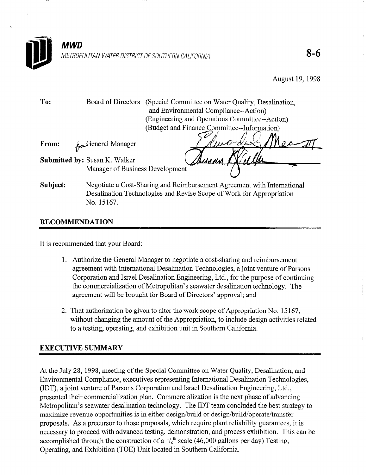

August 19,199s

To: Board of Directors (Special Committee on Water Quality, Desalination, and Environmental Compliance--Action) (Engineering and Operations Committee--Action) (Budget and Finance Committee--Information)

From:  $\theta$ , General Manager r

- Submitted by: Susan K. Walker Manager of Business Development
- 
- Subject: Negotiate a Cost-Sharing and Reimbursement Agreement with International Desalination Technologies and Revise Scope of Work for Appropriation No. 15167.

# RECOMMENDATION

It is recommended that your Board:

- 1. Authorize the General Manager to negotiate a cost-sharing and reimbursement agreement with International Desalination Technologies, a joint venture of Parsons Corporation and Israel Desalination Engineering, Ltd., for the purpose of continuing the commercialization of Metropolitan's seawater desalination technology. The agreement will be brought for Board of Directors' approval; and
- 2. That authorization be given to alter the work scope of Appropriation No. 15 167, without changing the amount of the Appropriation, to include design activities related to a testing, operating, and exhibition unit in Southern California.

# EXECUTIVE SUMMARY

At the July 28, 1998, meeting of the Special Committee on Water Quality, Desalination, and Environmental Compliance, executives representing International Desalination Technologies, (IDT), a joint venture of Parsons Corporation and Israel Desalination Engineering, Ltd., presented their commercialization plan. Commercialization is the next phase of advancing Metropolitan's seawater desalination technology. The IDT team concluded the best strategy to maximize revenue opportunities is in either design/build or design/build/operate/transfer proposals. As a precursor to those proposals, which require plant reliability guarantees, it is necessary to proceed with advanced testing, demonstration, and process exhibition. This can be accomplished through the construction of a  $\frac{1}{6}$ <sup>th</sup> scale (46,000 gallons per day) Testing, Operating, and Exhibition (TOE) Unit located in Southern California.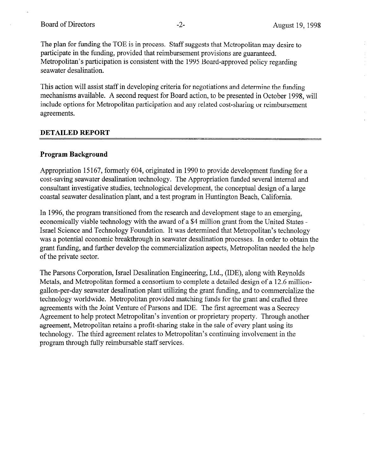The plan for funding the TOE is in process. Staff suggests that Metropolitan may desire to participate in the funding, provided that reimbursement provisions are guaranteed. Metropolitan's participation is consistent with the 1995 Board-approved policy regarding seawater desalination.

This action will assist staff in developing criteria for negotiations and determine the funding mechanisms available. A second request for Board action, to be presented in October 1998, will include options for Metropolitan participation and any related cost-sharing or reimbursement agreements.

### DETAILED REPORT

### Program Background

Appropriation 15 167, formerly 604, originated in 1990 to provide development funding for a cost-saving seawater desalination technology. The Appropriation funded several internal and consultant investigative studies, technological development, the conceptual design of a large coastal seawater desalination plant, and a test program in Huntington Beach, California.

In 1996, the program transitioned from the research and development stage to an emerging, economically viable technology with the award of a \$4 million grant from the United States - Israel Science and Technology Foundation. It was determined that Metropolitan's technology was a potential economic breakthrough in seawater desalination processes. In order to obtain the grant funding, and further develop the commercialization aspects, Metropolitan needed the help of the private sector.

The Parsons Corporation, Israel Desalination Engineering, Ltd., (IDE), along with Reynolds Metals, and Metropolitan formed a consortium to complete a detailed design of a 12.6 milliongallon-per-day seawater desalination plant utilizing the grant funding, and to commercialize the technology worldwide. Metropolitan provided matching funds for the grant and crafted three agreements with the Joint Venture of Parsons and IDE. The first agreement was a Secrecy Agreement to help protect Metropolitan's invention or proprietary property. Through another agreement, Metropolitan retains a profit-sharing stake in the sale of every plant using its technology. The third agreement relates to Metropolitan's continuing involvement in the program through fully reimbursable staff services.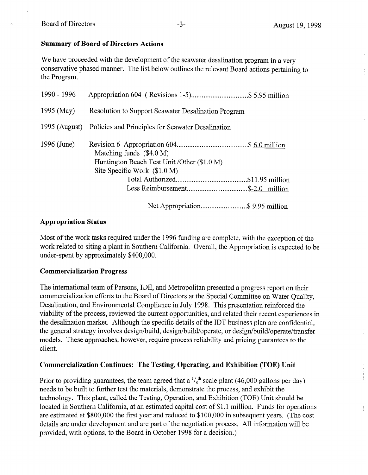## Summary of Board of Directors Actions

We have proceeded with the development of the seawater desalination program in a very conservative phased manner. The list below outlines the relevant Board actions pertaining to the Program.

| 1990 - 1996 | Appropriation 604 (Revisions 1-5)\$ 5.95 million                                                           |  |  |  |
|-------------|------------------------------------------------------------------------------------------------------------|--|--|--|
| 1995 (May)  | <b>Resolution to Support Seawater Desalination Program</b>                                                 |  |  |  |
|             | 1995 (August) Policies and Principles for Seawater Desalination                                            |  |  |  |
| 1996 (June) | Matching funds $(\$4.0 M)$<br>Huntington Beach Test Unit / Other (\$1.0 M)<br>Site Specific Work (\$1.0 M) |  |  |  |
|             |                                                                                                            |  |  |  |
|             |                                                                                                            |  |  |  |
|             |                                                                                                            |  |  |  |

## Appropriation Status

Most of the work tasks required under the 1996 funding are complete, with the exception of the work related to siting a plant in Southern California. Overall, the Appropriation is expected to be under-spent by approximately \$400,000.

## Commercialization Progress

The international team of Parsons, IDE, and Metropolitan presented a progress report on their commercialization efforts to the Board of Directors at the Special Committee on Water Quality, Desalination, and Environmental Compliance in July 1998. This presentation reinforced the viability of the process, reviewed the current opportunities, and related their recent experiences in the desalination market. Although the specific details of the IDT business plan are confidential, the general strategy involves design/build, design/build/operate, or design/build/operate/transfer models, These approaches, however, require process reliability and pricing guarantees to the client.

## Commercialization Continues: The Testing, Operating, and Exhibition (TOE) Unit

Prior to providing guarantees, the team agreed that a  $\frac{1}{6}$ <sup>th</sup> scale plant (46,000 gallons per day) needs to be built to further test the materials, demonstrate the process, and exhibit the technology. This plant, called the Testing, Operation, and Exhibition (TOE) Unit should be located in Southern California, at an estimated capital cost of \$1.1 million. Funds for operations are estimated at \$800,000 the first year and reduced to \$100,000 in subsequent years. (The cost details are under development and are part of the negotiation process. All information will be provided, with options, to the Board in October 1998 for a decision.)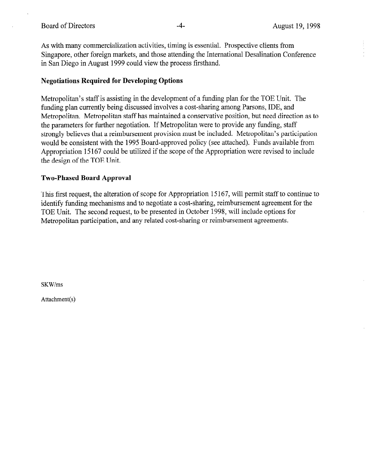As with many commercialization activities, timing is essential. Prospective clients from Singapore, other foreign markets, and those attending the International Desalination Conference in San Diego in August 1999 could view the process firsthand.

## Negotiations Required for Developing Options

Metropolitan's staff is assisting in the development of a funding plan for the TOE Unit. The funding plan currently being discussed involves a cost-sharing among Parsons, IDE, and Metropolitan. Metropolitan staff has maintained a conservative position, but need direction as to the parameters for further negotiation. If Metropolitan were to provide any funding, staff strongly believes that a reimbursement provision must be included. Metropolitan's participation would be consistent with the 1995 Board-approved policy (see attached). Funds available from Appropriation 15 167 could be utilized if the scope of the Appropriation were revised to include the design of the TOE Unit.

## Two-Phased Board Approval

This first request, the alteration of scope for Appropriation 15 167, will permit staff to continue to identify funding mechanisms and to negotiate a cost-sharing, reimbursement agreement for the TOE Unit. The second request, to be presented in October 1998, will include options for Metropolitan participation, and any related cost-sharing or reimbursement agreements.

SKWlms

Attachment(s)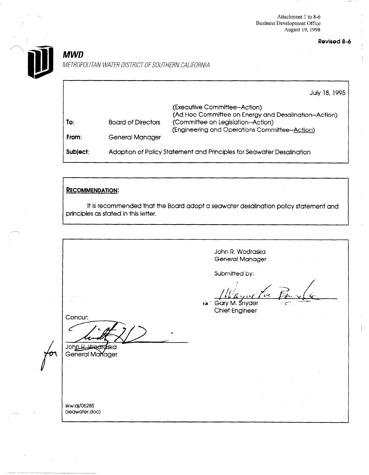Attachment 1 to 8-6 Business Development Office August 19, 1998

Revised 8-6

-



**MWD** 

METROPOLITAN WATER DISTRICT OF SOUTHERN CALIFORNIA

|          |                                                                       | July 18, 1995                                                                         |  |
|----------|-----------------------------------------------------------------------|---------------------------------------------------------------------------------------|--|
|          |                                                                       | (Executive Committee--Action)<br>(Ad Hoc Committee on Energy and Desalination-Action) |  |
| To:      | <b>Board of Directors</b>                                             | (Committee on Legislation--Action)<br>(Engineering and Operations Committee--Action)  |  |
| From:    | General Manager                                                       |                                                                                       |  |
| Subject: | Adoption of Policy Statement and Principles for Seawater Desalination |                                                                                       |  |

### 'RECOMMENDATION:

It is recommended that the Board adopt a seawater desalination policy statement and principles as stated in this letter.

I I

John R. Wodraska General Manager Submitted by: tan Gary M. Snyder Chief Engineer Concur: John R. Wedraska General Manager skw:aj/06285 (seawater.doc)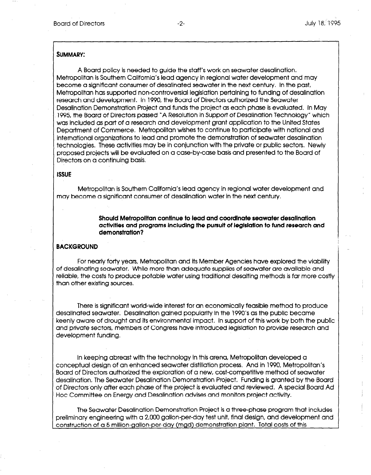#### SUMMARY:

A Board policy is needed to guide the staff's work on seawater desalination. Metropolitan is Southern California's lead agency in regional water development and may become a significant consumer of desalinated seawater in the next century. In the past, Metropolitan has supported non-controversial legislation pertaining to funding of desalination research and development. In 1990, the Board of Directors authorized the Seawater Desalination Demonstration Project and funds the project as each phase is evaluated. In May 1995, the Board of Directors passed 'A Resolution in Support of Desalination Technology" which was included as part of a research and development grant application to the United States Department of Commerce. Metropolitan wishes to continue to participate with national and international organizations to lead and promote the demonstration of seawater desalination technologies. These activities may be in conjunction with the private or public sectors. Newly proposed projects will be evaluated on a case-by-case basis and presented to the Board of Directors on a continuing basis.

#### **ISSUE**

Metropolitan is Southern California's lead agency in regional water development and may become a significant consumer of desalination water in the next century.

> Should Metropolitan continue to lead and coordinate seawater desalination activities and programs including the pursuit of legislation to fund research and demonstration?

#### **BACKGROUND**

For nearly forty years, Metropolitan and its Member Agencies have explored the viability of desalinating seawater. While more than adequate supplies of seawater are available and reliable, the costs to produce potable water using traditional desalting methods is far more costly than other existing sources.

There is significant world-wide interest for an economically feasible method to produce desalinated seawater. Desalination gained popularity in the 1990's as the public became keenly aware of drought and its environmental impact. In support of this work by both the public and private sectors, members of Congress have introduced legislation to provide research and development funding.

In keeping abreast with the technology in this arena, Metropolitan developed a conceptual design of an enhanced seawater distillation process. And in 1990, Metropolitan's 3oard of Directors authorized the exploration of a new, cost-competitive method of seawater desalination, The Seawater Desalination Demonstration Project. Funding is granted by the Board Df Directors only after each phase of the project is evaluated and reviewed. A special Board Ad Hoc Committee on Energy and Desalination advises and monitors project activity.

The Seawater Desalination Demonstration Project is a three-phase program that includes Dreliminary engineering with a 2,000 gallon-per-day test unit, final design, and development and construction of a 5 million-gallon-per-day (mgd) demonstration plant. Total costs of this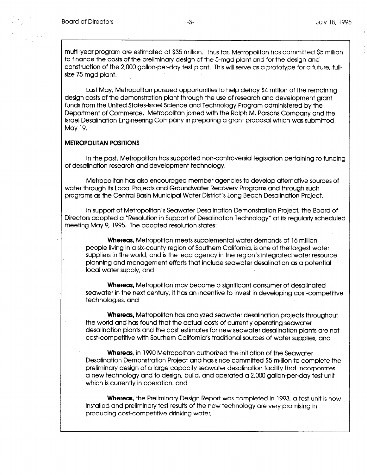multi-year program are estimated at \$35 million, Thus far, Metropolitan has committed \$5 million to finance the costs of the preliminary design of the 5-mgd plant and for the design and construction of the 2,000 gallon-per-day test plant. This will serve as a prototype for a future, fullsize 75 mgd plant.

Last May, Metropolitan pursued opportunities to help defray \$4 million of the remaining design costs of the demonstration plant through the use of research and development grant funds from the United States-Israel Science and Technology Program administered by the Department of Commerce. Metropolitan joined with the Ralph M. Parsons Company and the Israel Desalination Engineering Company in preparing a grant proposal which was submitted May 19.

#### METROPOLITAN POSITIONS

In the past, Metropolitan has supported non-controversial legislation pertaining to funding of desalination research and development technology.

Metropolitan has also encouraged member agencies to develop alternative sources of water through Its Local Projects and Groundwater Recovery Programs and through such programs as the Central Basin Municipal Water District's Long Beach Desalination Project.

In support of Metropolitan's Seawater Desalination Demonstration Project, the Board of Directors adopted a "Resolution in Support of Desalination Technology" at its regularly scheduled meeting May 9, 1995. The adopted resolution states:

Whereas, Metropolitan meets supplemental water demands of 16 million people living in a six-county region of Southern California, is one of the largest water suppliers in the world, and is the lead agency in the region's integrated water resource planning and management efforts that include seawater desalination as a potential local water supply, and

Whereas, Metropolitan may become a significant consumer of desalinated seawater in the next century, it has an incentive to invest in developing cost-competitive technologies, and

Whereas, Metropolitan has analyzed seawater desalination projects throughout the world and has found that the actual costs of currently operating seawater desalination plants and the cost estimates for new seawater desalination plants are not cost-competitive with Southern California's traditional sources of water supplies, and

Whereas, in 1990 Metropolitan authorized the initiation of the Seawater Desalination Demonstration Project and has since committed \$5 million to complete the preliminary design of a large capacity seawater desalination facility that incorporates a new technology and to design, build, and operated a 2,000 gallon-per-day test unit which is currently in operation, and

Whereas, the Preliminary Design Report was completed in 1993, a test unit is now installed and preliminary test responsives completed in 1990, cliest of product charge community restrictive drinking